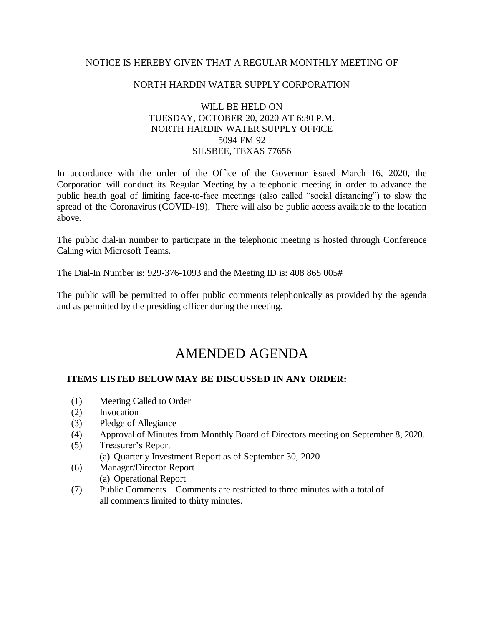# NOTICE IS HEREBY GIVEN THAT A REGULAR MONTHLY MEETING OF

## NORTH HARDIN WATER SUPPLY CORPORATION

# WILL BE HELD ON TUESDAY, OCTOBER 20, 2020 AT 6:30 P.M. NORTH HARDIN WATER SUPPLY OFFICE 5094 FM 92 SILSBEE, TEXAS 77656

In accordance with the order of the Office of the Governor issued March 16, 2020, the Corporation will conduct its Regular Meeting by a telephonic meeting in order to advance the public health goal of limiting face-to-face meetings (also called "social distancing") to slow the spread of the Coronavirus (COVID-19). There will also be public access available to the location above.

The public dial-in number to participate in the telephonic meeting is hosted through Conference Calling with Microsoft Teams.

The Dial-In Number is: 929-376-1093 and the Meeting ID is: 408 865 005#

The public will be permitted to offer public comments telephonically as provided by the agenda and as permitted by the presiding officer during the meeting.

# AMENDED AGENDA

# **ITEMS LISTED BELOW MAY BE DISCUSSED IN ANY ORDER:**

- (1) Meeting Called to Order
- (2) Invocation
- (3) Pledge of Allegiance
- (4) Approval of Minutes from Monthly Board of Directors meeting on September 8, 2020.
- (5) Treasurer's Report
	- (a) Quarterly Investment Report as of September 30, 2020
- (6) Manager/Director Report (a) Operational Report
- (7) Public Comments Comments are restricted to three minutes with a total of all comments limited to thirty minutes.